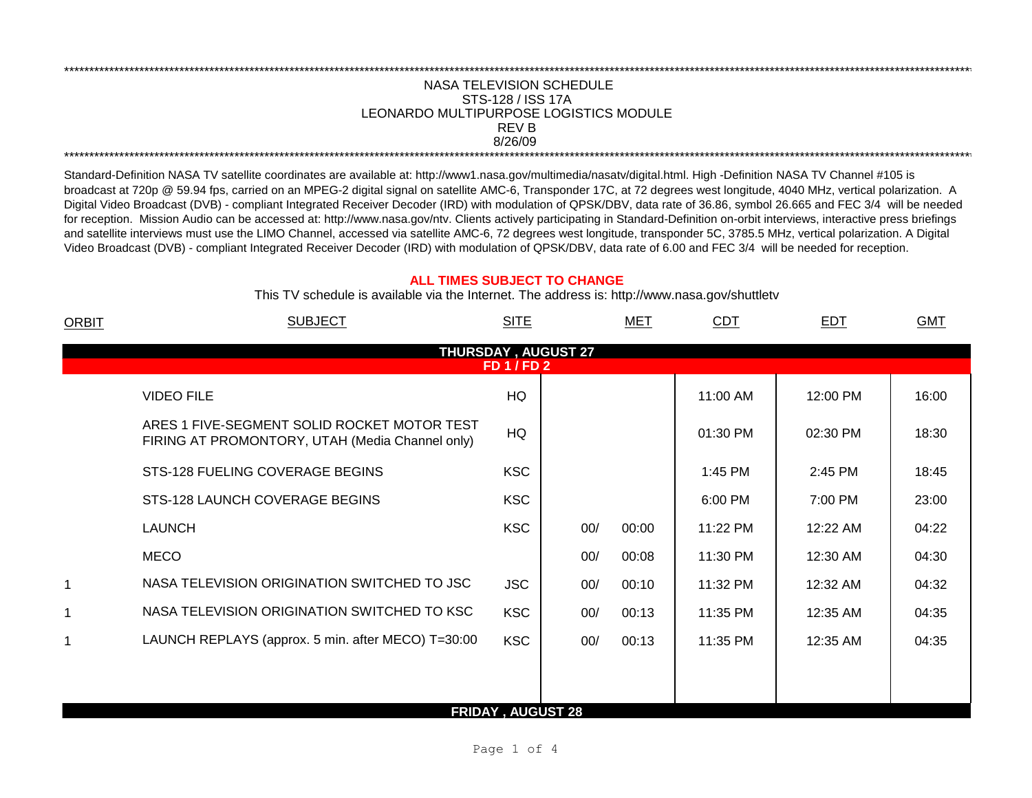## \*\*\*\*\*\*\*\*\*\*\*\*\*\*\*\*\*\*\*\*\*\*\*\*\*\*\*\*\*\*\*\*\*\*\*\*\*\*\*\*\*\*\*\*\*\*\*\*\*\*\*\*\*\*\*\*\*\*\*\*\*\*\*\*\*\*\*\*\*\*\*\*\*\*\*\*\*\*\*\*\*\*\*\*\*\*\*\*\*\*\*\*\*\*\*\*\*\*\*\*\*\*\*\*\*\*\*\*\*\*\*\*\*\*\*\*\*\*\*\*\*\*\*\*\*\*\*\*\*\*\*\*\*\*\*\*\*\*\*\*\*\*\*\*\*\*\*\*\*\*\*\*\*\*\*\*\*\*\*\*\*\*\*\*\*\*\*\*\*\*\*\*\*\*\*\*\*\*\*\*\*\*\*\*\* NASA TELEVISION SCHEDULE STS-128 / ISS 17A 8/26/09 \*\*\*\*\*\*\*\*\*\*\*\*\*\*\*\*\*\*\*\*\*\*\*\*\*\*\*\*\*\*\*\*\*\*\*\*\*\*\*\*\*\*\*\*\*\*\*\*\*\*\*\*\*\*\*\*\*\*\*\*\*\*\*\*\*\*\*\*\*\*\*\*\*\*\*\*\*\*\*\*\*\*\*\*\*\*\*\*\*\*\*\*\*\*\*\*\*\*\*\*\*\*\*\*\*\*\*\*\*\*\*\*\*\*\*\*\*\*\*\*\*\*\*\*\*\*\*\*\*\*\*\*\*\*\*\*\*\*\*\*\*\*\*\*\*\*\*\*\*\*\*\*\*\*\*\*\*\*\*\*\*\*\*\*\*\*\*\*\*\*\*\*\*\*\*\*\*\*\*\*\*\*\*\*\* LEONARDO MULTIPURPOSE LOGISTICS MODULE REV B

Standard-Definition NASA TV satellite coordinates are available at: http://www1.nasa.gov/multimedia/nasatv/digital.html. High -Definition NASA TV Channel #105 is broadcast at 720p @ 59.94 fps, carried on an MPEG-2 digital signal on satellite AMC-6, Transponder 17C, at 72 degrees west longitude, 4040 MHz, vertical polarization. A Digital Video Broadcast (DVB) - compliant Integrated Receiver Decoder (IRD) with modulation of QPSK/DBV, data rate of 36.86, symbol 26.665 and FEC 3/4 will be needed for reception. Mission Audio can be accessed at: http://www.nasa.gov/ntv. Clients actively participating in Standard-Definition on-orbit interviews, interactive press briefings and satellite interviews must use the LIMO Channel, accessed via satellite AMC-6, 72 degrees west longitude, transponder 5C, 3785.5 MHz, vertical polarization. A Digital Video Broadcast (DVB) - compliant Integrated Receiver Decoder (IRD) with modulation of QPSK/DBV, data rate of 6.00 and FEC 3/4 will be needed for reception.

## **ALL TIMES SUBJECT TO CHANGE**

This TV schedule is available via the Internet. The address is: http://www.nasa.gov/shuttletv

| ORBIT                                     | <b>SUBJECT</b>                                                                                 | <b>SITE</b>              |     | MET   | CDT      | EDT      | <b>GMT</b> |  |  |
|-------------------------------------------|------------------------------------------------------------------------------------------------|--------------------------|-----|-------|----------|----------|------------|--|--|
| THURSDAY, AUGUST 27<br><b>FD 1 / FD 2</b> |                                                                                                |                          |     |       |          |          |            |  |  |
|                                           | <b>VIDEO FILE</b>                                                                              | HQ                       |     |       | 11:00 AM | 12:00 PM | 16:00      |  |  |
|                                           | ARES 1 FIVE-SEGMENT SOLID ROCKET MOTOR TEST<br>FIRING AT PROMONTORY, UTAH (Media Channel only) | HQ                       |     |       | 01:30 PM | 02:30 PM | 18:30      |  |  |
|                                           | STS-128 FUELING COVERAGE BEGINS                                                                | <b>KSC</b>               |     |       | 1:45 PM  | 2:45 PM  | 18:45      |  |  |
|                                           | STS-128 LAUNCH COVERAGE BEGINS                                                                 | <b>KSC</b>               |     |       | 6:00 PM  | 7:00 PM  | 23:00      |  |  |
|                                           | <b>LAUNCH</b>                                                                                  | <b>KSC</b>               | 00/ | 00:00 | 11:22 PM | 12:22 AM | 04:22      |  |  |
|                                           | <b>MECO</b>                                                                                    |                          | 00/ | 00:08 | 11:30 PM | 12:30 AM | 04:30      |  |  |
| 1                                         | NASA TELEVISION ORIGINATION SWITCHED TO JSC                                                    | <b>JSC</b>               | 00/ | 00:10 | 11:32 PM | 12:32 AM | 04:32      |  |  |
| 1                                         | NASA TELEVISION ORIGINATION SWITCHED TO KSC                                                    | <b>KSC</b>               | 00/ | 00:13 | 11:35 PM | 12:35 AM | 04:35      |  |  |
| 1                                         | LAUNCH REPLAYS (approx. 5 min. after MECO) T=30:00                                             | <b>KSC</b>               | 00/ | 00:13 | 11:35 PM | 12:35 AM | 04:35      |  |  |
|                                           |                                                                                                |                          |     |       |          |          |            |  |  |
|                                           |                                                                                                | <b>FRIDAY, AUGUST 28</b> |     |       |          |          |            |  |  |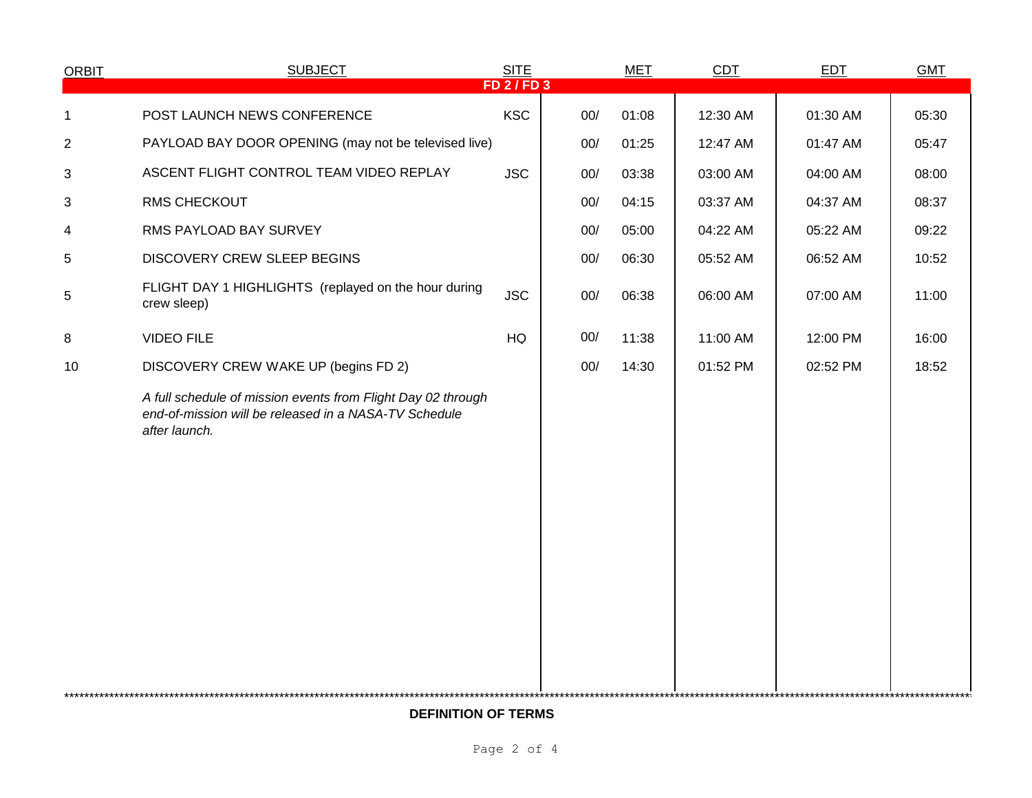| <b>ORBIT</b>   | <b>SUBJECT</b>                                                                                                                         | <b>SITE</b>   |     | $MET$ | CDT      | EDT      | <b>GMT</b> |  |
|----------------|----------------------------------------------------------------------------------------------------------------------------------------|---------------|-----|-------|----------|----------|------------|--|
|                |                                                                                                                                        | $FD$ 2 / FD 3 |     |       |          |          |            |  |
| 1              | POST LAUNCH NEWS CONFERENCE                                                                                                            | <b>KSC</b>    | 00/ | 01:08 | 12:30 AM | 01:30 AM | 05:30      |  |
| $\overline{2}$ | PAYLOAD BAY DOOR OPENING (may not be televised live)                                                                                   |               | 00/ | 01:25 | 12:47 AM | 01:47 AM | 05:47      |  |
| 3              | ASCENT FLIGHT CONTROL TEAM VIDEO REPLAY                                                                                                | <b>JSC</b>    | 00/ | 03:38 | 03:00 AM | 04:00 AM | 08:00      |  |
| 3              | <b>RMS CHECKOUT</b>                                                                                                                    |               | 00/ | 04:15 | 03:37 AM | 04:37 AM | 08:37      |  |
| 4              | RMS PAYLOAD BAY SURVEY                                                                                                                 |               | 00/ | 05:00 | 04:22 AM | 05:22 AM | 09:22      |  |
| 5              | DISCOVERY CREW SLEEP BEGINS                                                                                                            |               | 00/ | 06:30 | 05:52 AM | 06:52 AM | 10:52      |  |
| 5              | FLIGHT DAY 1 HIGHLIGHTS (replayed on the hour during<br>crew sleep)                                                                    | <b>JSC</b>    | 00/ | 06:38 | 06:00 AM | 07:00 AM | 11:00      |  |
| 8              | <b>VIDEO FILE</b>                                                                                                                      | HQ            | 00/ | 11:38 | 11:00 AM | 12:00 PM | 16:00      |  |
| 10             | DISCOVERY CREW WAKE UP (begins FD 2)                                                                                                   |               | 00/ | 14:30 | 01:52 PM | 02:52 PM | 18:52      |  |
|                | A full schedule of mission events from Flight Day 02 through<br>end-of-mission will be released in a NASA-TV Schedule<br>after launch. |               |     |       |          |          |            |  |
|                |                                                                                                                                        |               |     |       |          |          |            |  |

**DEFINITION OF TERMS**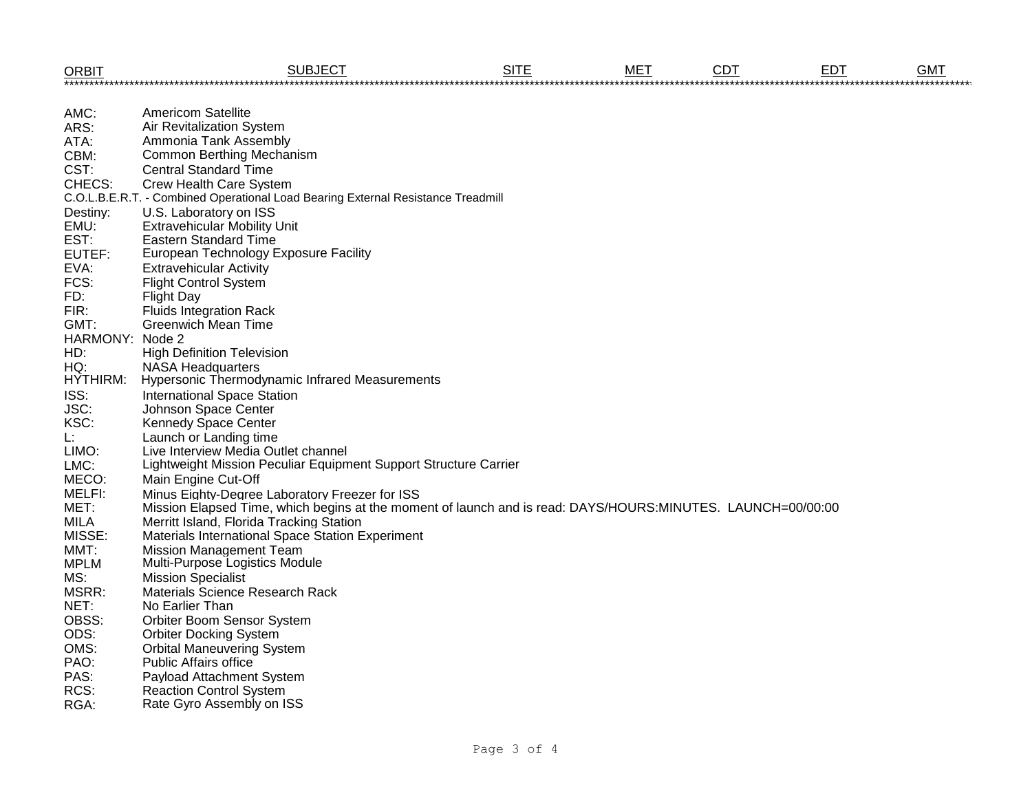| <b>ORBIT</b>    | <b>SUBJECT</b>                                                                                              | <b>SITE</b> | MET | <b>CDT</b> | <b>EDT</b> | <b>GMT</b> |
|-----------------|-------------------------------------------------------------------------------------------------------------|-------------|-----|------------|------------|------------|
|                 |                                                                                                             |             |     |            |            |            |
| AMC:            | <b>Americom Satellite</b>                                                                                   |             |     |            |            |            |
| ARS:            | Air Revitalization System                                                                                   |             |     |            |            |            |
| ATA:            | Ammonia Tank Assembly                                                                                       |             |     |            |            |            |
| CBM:            | <b>Common Berthing Mechanism</b>                                                                            |             |     |            |            |            |
| CST:            | <b>Central Standard Time</b>                                                                                |             |     |            |            |            |
| CHECS:          | Crew Health Care System                                                                                     |             |     |            |            |            |
|                 | C.O.L.B.E.R.T. - Combined Operational Load Bearing External Resistance Treadmill                            |             |     |            |            |            |
| Destiny:        | U.S. Laboratory on ISS                                                                                      |             |     |            |            |            |
| EMU:            | <b>Extravehicular Mobility Unit</b>                                                                         |             |     |            |            |            |
| EST:            | <b>Eastern Standard Time</b>                                                                                |             |     |            |            |            |
| EUTEF:          | European Technology Exposure Facility                                                                       |             |     |            |            |            |
| EVA:            | <b>Extravehicular Activity</b>                                                                              |             |     |            |            |            |
| FCS:            | <b>Flight Control System</b>                                                                                |             |     |            |            |            |
| FD:             | <b>Flight Day</b>                                                                                           |             |     |            |            |            |
| FIR:            | <b>Fluids Integration Rack</b>                                                                              |             |     |            |            |            |
| GMT:            | <b>Greenwich Mean Time</b>                                                                                  |             |     |            |            |            |
| HARMONY: Node 2 |                                                                                                             |             |     |            |            |            |
| HD:             | <b>High Definition Television</b>                                                                           |             |     |            |            |            |
| HQ:             | <b>NASA Headquarters</b>                                                                                    |             |     |            |            |            |
| <b>HYTHIRM:</b> | Hypersonic Thermodynamic Infrared Measurements                                                              |             |     |            |            |            |
| ISS:            | <b>International Space Station</b>                                                                          |             |     |            |            |            |
| JSC:            | Johnson Space Center                                                                                        |             |     |            |            |            |
| KSC:            | <b>Kennedy Space Center</b>                                                                                 |             |     |            |            |            |
| Ŀ.              | Launch or Landing time                                                                                      |             |     |            |            |            |
| LIMO:           | Live Interview Media Outlet channel                                                                         |             |     |            |            |            |
| LMC:            | Lightweight Mission Peculiar Equipment Support Structure Carrier                                            |             |     |            |            |            |
| MECO:           | Main Engine Cut-Off                                                                                         |             |     |            |            |            |
| MELFI:          | Minus Eighty-Degree Laboratory Freezer for ISS                                                              |             |     |            |            |            |
| MET:            | Mission Elapsed Time, which begins at the moment of launch and is read: DAYS/HOURS:MINUTES. LAUNCH=00/00:00 |             |     |            |            |            |
| <b>MILA</b>     | Merritt Island, Florida Tracking Station                                                                    |             |     |            |            |            |
| MISSE:          | Materials International Space Station Experiment                                                            |             |     |            |            |            |
| MMT:            | Mission Management Team                                                                                     |             |     |            |            |            |
| <b>MPLM</b>     | Multi-Purpose Logistics Module                                                                              |             |     |            |            |            |
| MS:             | <b>Mission Specialist</b>                                                                                   |             |     |            |            |            |
| MSRR:           | <b>Materials Science Research Rack</b>                                                                      |             |     |            |            |            |
| NET:            | No Earlier Than                                                                                             |             |     |            |            |            |
| OBSS:           | Orbiter Boom Sensor System                                                                                  |             |     |            |            |            |
| ODS:            | <b>Orbiter Docking System</b>                                                                               |             |     |            |            |            |
| OMS:            | <b>Orbital Maneuvering System</b>                                                                           |             |     |            |            |            |
| PAO:            | <b>Public Affairs office</b>                                                                                |             |     |            |            |            |
| PAS:            | Payload Attachment System                                                                                   |             |     |            |            |            |
| RCS:            | <b>Reaction Control System</b>                                                                              |             |     |            |            |            |
| RGA:            | Rate Gyro Assembly on ISS                                                                                   |             |     |            |            |            |